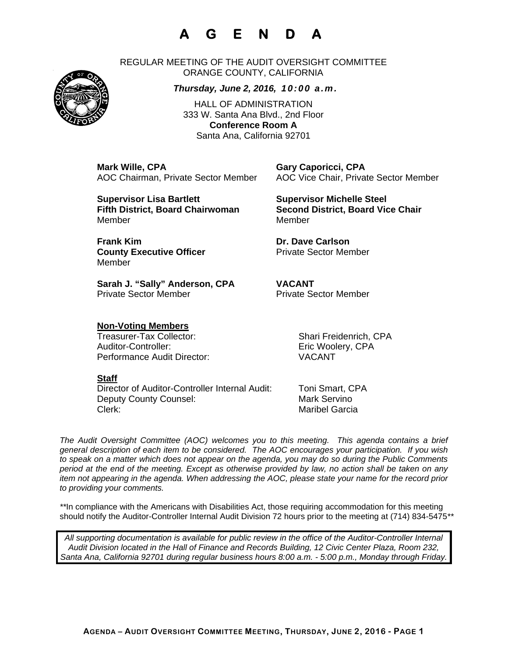# **A G E N D A**

REGULAR MEETING OF THE AUDIT OVERSIGHT COMMITTEE ORANGE COUNTY, CALIFORNIA

### *Thursday, June 2, 2016, 10:00 a.m.*

HALL OF ADMINISTRATION 333 W. Santa Ana Blvd., 2nd Floor **Conference Room A**  Santa Ana, California 92701

**Mark Wille, CPA Gary Caporicci, CPA** 

**Supervisor Lisa Bartlett Supervisor Michelle Steel** MemberMember

AOC Chairman, Private Sector Member AOC Vice Chair, Private Sector Member

**Fifth District, Board Chairwoman Second District, Board Vice Chair** 

**Frank Kim Community Community Community Community Dr. Dave Carlson County Executive Officer Private Sector Member** 

**Sarah J. "Sally" Anderson, CPA VACANT**  Private Sector Member **Private Sector Member** 

### **Non-Voting Members**

Treasurer-Tax Collector: Shari Freidenrich, CPA Auditor-Controller: Eric Woolery, CPA Performance Audit Director: VACANT

**Staff** 

Member

Director of Auditor-Controller Internal Audit: Toni Smart, CPA Deputy County Counsel: Mark Servino Clerk: Maribel Garcia

*The Audit Oversight Committee (AOC) welcomes you to this meeting. This agenda contains a brief general description of each item to be considered. The AOC encourages your participation. If you wish to speak on a matter which does not appear on the agenda, you may do so during the Public Comments period at the end of the meeting. Except as otherwise provided by law, no action shall be taken on any item not appearing in the agenda. When addressing the AOC, please state your name for the record prior to providing your comments.* 

*\*\**In compliance with the Americans with Disabilities Act, those requiring accommodation for this meeting should notify the Auditor-Controller Internal Audit Division 72 hours prior to the meeting at (714) 834-5475*\*\** 

*All supporting documentation is available for public review in the office of the Auditor-Controller Internal Audit Division located in the Hall of Finance and Records Building, 12 Civic Center Plaza, Room 232, Santa Ana, California 92701 during regular business hours 8:00 a.m. - 5:00 p.m., Monday through Friday.* 



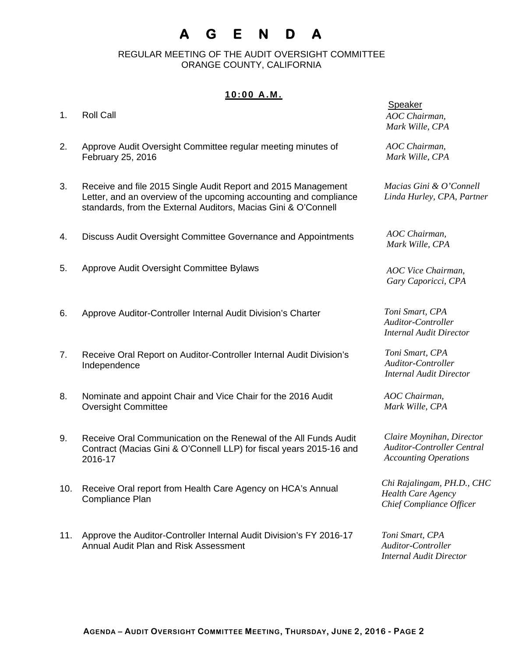## **A G E N D A**

 REGULAR MEETING OF THE AUDIT OVERSIGHT COMMITTEE ORANGE COUNTY, CALIFORNIA

### **10:00 A.M.**

| 1.  | <b>Roll Call</b>                                                                                                                                                                                     | Speaker<br>AOC Chairman,<br>Mark Wille, CPA                                                    |
|-----|------------------------------------------------------------------------------------------------------------------------------------------------------------------------------------------------------|------------------------------------------------------------------------------------------------|
| 2.  | Approve Audit Oversight Committee regular meeting minutes of<br>February 25, 2016                                                                                                                    | AOC Chairman,<br>Mark Wille, CPA                                                               |
| 3.  | Receive and file 2015 Single Audit Report and 2015 Management<br>Letter, and an overview of the upcoming accounting and compliance<br>standards, from the External Auditors, Macias Gini & O'Connell | Macias Gini & O'Connell<br>Linda Hurley, CPA, Partner                                          |
| 4.  | Discuss Audit Oversight Committee Governance and Appointments                                                                                                                                        | AOC Chairman,<br>Mark Wille, CPA                                                               |
| 5.  | Approve Audit Oversight Committee Bylaws                                                                                                                                                             | AOC Vice Chairman,<br>Gary Caporicci, CPA                                                      |
| 6.  | Approve Auditor-Controller Internal Audit Division's Charter                                                                                                                                         | Toni Smart, CPA<br>Auditor-Controller<br><b>Internal Audit Director</b>                        |
| 7.  | Receive Oral Report on Auditor-Controller Internal Audit Division's<br>Independence                                                                                                                  | Toni Smart, CPA<br><b>Auditor-Controller</b><br><b>Internal Audit Director</b>                 |
| 8.  | Nominate and appoint Chair and Vice Chair for the 2016 Audit<br><b>Oversight Committee</b>                                                                                                           | AOC Chairman,<br>Mark Wille, CPA                                                               |
| 9.  | Receive Oral Communication on the Renewal of the All Funds Audit<br>Contract (Macias Gini & O'Connell LLP) for fiscal years 2015-16 and<br>2016-17                                                   | Claire Moynihan, Director<br><b>Auditor-Controller Central</b><br><b>Accounting Operations</b> |
| 10. | Receive Oral report from Health Care Agency on HCA's Annual<br>Compliance Plan                                                                                                                       | Chi Rajalingam, PH.D., CHC<br><b>Health Care Agency</b><br>Chief Compliance Officer            |

11. Approve the Auditor-Controller Internal Audit Division's FY 2016-17 Annual Audit Plan and Risk Assessment

*Toni Smart, CPA Auditor-Controller Internal Audit Director*